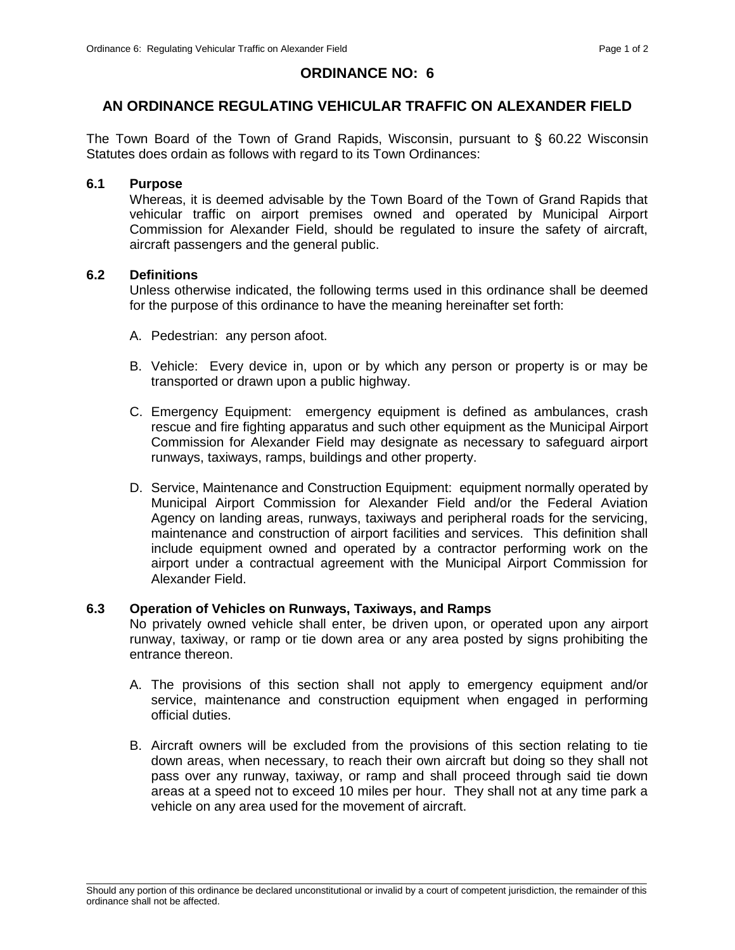# **ORDINANCE NO: 6**

# **AN ORDINANCE REGULATING VEHICULAR TRAFFIC ON ALEXANDER FIELD**

The Town Board of the Town of Grand Rapids, Wisconsin, pursuant to § 60.22 Wisconsin Statutes does ordain as follows with regard to its Town Ordinances:

### **6.1 Purpose**

Whereas, it is deemed advisable by the Town Board of the Town of Grand Rapids that vehicular traffic on airport premises owned and operated by Municipal Airport Commission for Alexander Field, should be regulated to insure the safety of aircraft, aircraft passengers and the general public.

## **6.2 Definitions**

Unless otherwise indicated, the following terms used in this ordinance shall be deemed for the purpose of this ordinance to have the meaning hereinafter set forth:

- A. Pedestrian: any person afoot.
- B. Vehicle: Every device in, upon or by which any person or property is or may be transported or drawn upon a public highway.
- C. Emergency Equipment: emergency equipment is defined as ambulances, crash rescue and fire fighting apparatus and such other equipment as the Municipal Airport Commission for Alexander Field may designate as necessary to safeguard airport runways, taxiways, ramps, buildings and other property.
- D. Service, Maintenance and Construction Equipment: equipment normally operated by Municipal Airport Commission for Alexander Field and/or the Federal Aviation Agency on landing areas, runways, taxiways and peripheral roads for the servicing, maintenance and construction of airport facilities and services. This definition shall include equipment owned and operated by a contractor performing work on the airport under a contractual agreement with the Municipal Airport Commission for Alexander Field.

### **6.3 Operation of Vehicles on Runways, Taxiways, and Ramps**

No privately owned vehicle shall enter, be driven upon, or operated upon any airport runway, taxiway, or ramp or tie down area or any area posted by signs prohibiting the entrance thereon.

- A. The provisions of this section shall not apply to emergency equipment and/or service, maintenance and construction equipment when engaged in performing official duties.
- B. Aircraft owners will be excluded from the provisions of this section relating to tie down areas, when necessary, to reach their own aircraft but doing so they shall not pass over any runway, taxiway, or ramp and shall proceed through said tie down areas at a speed not to exceed 10 miles per hour. They shall not at any time park a vehicle on any area used for the movement of aircraft.